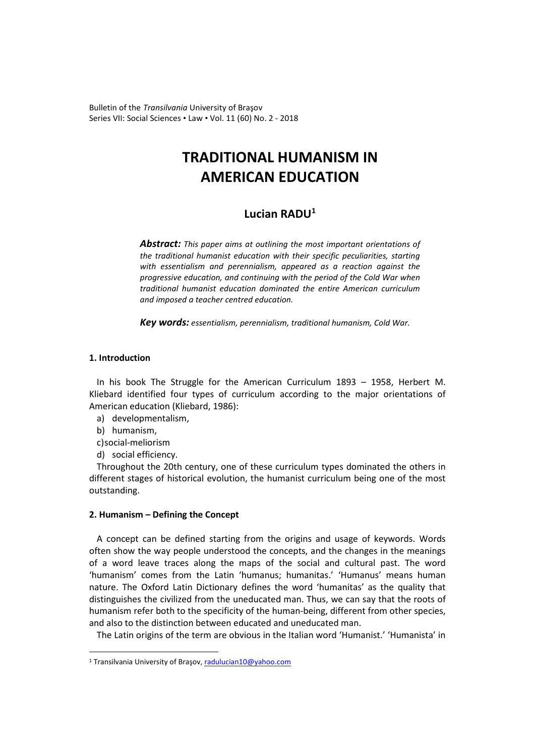Bulletin of the *Transilvania* University of Braşov Series VII: Social Sciences • Law • Vol. 11 (60) No. 2 - 2018

# **TRADITIONAL HUMANISM IN AMERICAN EDUCATION**

# **Lucian RADU[1](#page-0-0)**

*Abstract: This paper aims at outlining the most important orientations of the traditional humanist education with their specific peculiarities, starting with essentialism and perennialism, appeared as a reaction against the progressive education, and continuing with the period of the Cold War when traditional humanist education dominated the entire American curriculum and imposed a teacher centred education.*

*Key words: essentialism, perennialism, traditional humanism, Cold War.*

# **1. Introduction**

In his book The Struggle for the American Curriculum 1893 – 1958, Herbert M. Kliebard identified four types of curriculum according to the major orientations of American education (Kliebard, 1986):

- a) developmentalism,
- b) humanism,

 $\overline{a}$ 

- c)social-meliorism
- d) social efficiency.

Throughout the 20th century, one of these curriculum types dominated the others in different stages of historical evolution, the humanist curriculum being one of the most outstanding.

# **2. Humanism – Defining the Concept**

A concept can be defined starting from the origins and usage of keywords. Words often show the way people understood the concepts, and the changes in the meanings of a word leave traces along the maps of the social and cultural past. The word 'humanism' comes from the Latin 'humanus; humanitas.' 'Humanus' means human nature. The Oxford Latin Dictionary defines the word 'humanitas' as the quality that distinguishes the civilized from the uneducated man. Thus, we can say that the roots of humanism refer both to the specificity of the human-being, different from other species, and also to the distinction between educated and uneducated man.

The Latin origins of the term are obvious in the Italian word 'Humanist.' 'Humanista' in

<span id="page-0-0"></span><sup>&</sup>lt;sup>1</sup> Transilvania University of Braşov, [radulucian10@yahoo.com](mailto:radulucian10@yahoo.com)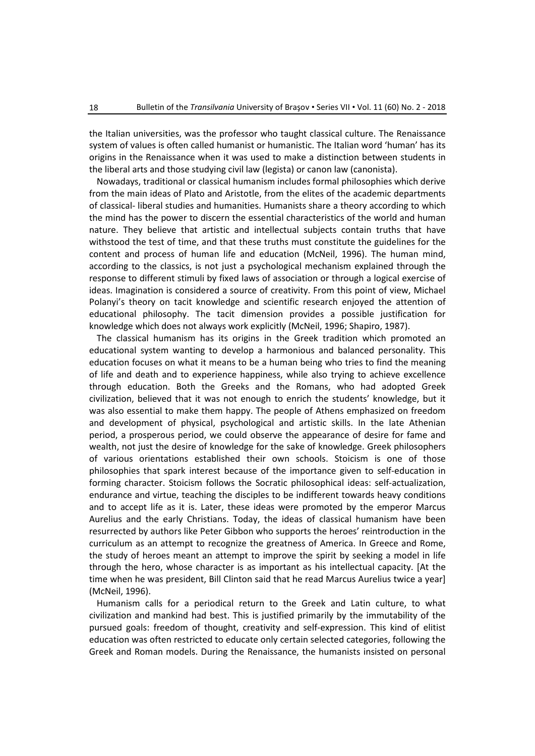the Italian universities, was the professor who taught classical culture. The Renaissance system of values is often called humanist or humanistic. The Italian word 'human' has its origins in the Renaissance when it was used to make a distinction between students in the liberal arts and those studying civil law (legista) or canon law (canonista).

Nowadays, traditional or classical humanism includes formal philosophies which derive from the main ideas of Plato and Aristotle, from the elites of the academic departments of classical- liberal studies and humanities. Humanists share a theory according to which the mind has the power to discern the essential characteristics of the world and human nature. They believe that artistic and intellectual subjects contain truths that have withstood the test of time, and that these truths must constitute the guidelines for the content and process of human life and education (McNeil, 1996). The human mind, according to the classics, is not just a psychological mechanism explained through the response to different stimuli by fixed laws of association or through a logical exercise of ideas. Imagination is considered a source of creativity. From this point of view, Michael Polanyi's theory on tacit knowledge and scientific research enjoyed the attention of educational philosophy. The tacit dimension provides a possible justification for knowledge which does not always work explicitly (McNeil, 1996; Shapiro, 1987).

The classical humanism has its origins in the Greek tradition which promoted an educational system wanting to develop a harmonious and balanced personality. This education focuses on what it means to be a human being who tries to find the meaning of life and death and to experience happiness, while also trying to achieve excellence through education. Both the Greeks and the Romans, who had adopted Greek civilization, believed that it was not enough to enrich the students' knowledge, but it was also essential to make them happy. The people of Athens emphasized on freedom and development of physical, psychological and artistic skills. In the late Athenian period, a prosperous period, we could observe the appearance of desire for fame and wealth, not just the desire of knowledge for the sake of knowledge. Greek philosophers of various orientations established their own schools. Stoicism is one of those philosophies that spark interest because of the importance given to self-education in forming character. Stoicism follows the Socratic philosophical ideas: self-actualization, endurance and virtue, teaching the disciples to be indifferent towards heavy conditions and to accept life as it is. Later, these ideas were promoted by the emperor Marcus Aurelius and the early Christians. Today, the ideas of classical humanism have been resurrected by authors like Peter Gibbon who supports the heroes' reintroduction in the curriculum as an attempt to recognize the greatness of America. In Greece and Rome, the study of heroes meant an attempt to improve the spirit by seeking a model in life through the hero, whose character is as important as his intellectual capacity. [At the time when he was president, Bill Clinton said that he read Marcus Aurelius twice a year] (McNeil, 1996).

Humanism calls for a periodical return to the Greek and Latin culture, to what civilization and mankind had best. This is justified primarily by the immutability of the pursued goals: freedom of thought, creativity and self-expression. This kind of elitist education was often restricted to educate only certain selected categories, following the Greek and Roman models. During the Renaissance, the humanists insisted on personal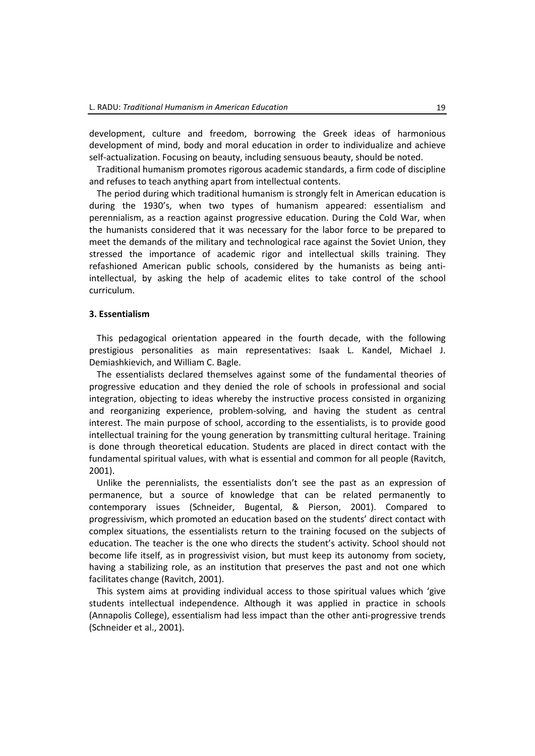development, culture and freedom, borrowing the Greek ideas of harmonious development of mind, body and moral education in order to individualize and achieve self-actualization. Focusing on beauty, including sensuous beauty, should be noted.

Traditional humanism promotes rigorous academic standards, a firm code of discipline and refuses to teach anything apart from intellectual contents.

The period during which traditional humanism is strongly felt in American education is during the 1930's, when two types of humanism appeared: essentialism and perennialism, as a reaction against progressive education. During the Cold War, when the humanists considered that it was necessary for the labor force to be prepared to meet the demands of the military and technological race against the Soviet Union, they stressed the importance of academic rigor and intellectual skills training. They refashioned American public schools, considered by the humanists as being antiintellectual, by asking the help of academic elites to take control of the school curriculum.

#### **3. Essentialism**

This pedagogical orientation appeared in the fourth decade, with the following prestigious personalities as main representatives: Isaak L. Kandel, Michael J. Demiashkievich, and William C. Bagle.

The essentialists declared themselves against some of the fundamental theories of progressive education and they denied the role of schools in professional and social integration, objecting to ideas whereby the instructive process consisted in organizing and reorganizing experience, problem-solving, and having the student as central interest. The main purpose of school, according to the essentialists, is to provide good intellectual training for the young generation by transmitting cultural heritage. Training is done through theoretical education. Students are placed in direct contact with the fundamental spiritual values, with what is essential and common for all people (Ravitch, 2001).

Unlike the perennialists, the essentialists don't see the past as an expression of permanence, but a source of knowledge that can be related permanently to contemporary issues (Schneider, Bugental, & Pierson, 2001). Compared to progressivism, which promoted an education based on the students' direct contact with complex situations, the essentialists return to the training focused on the subjects of education. The teacher is the one who directs the student's activity. School should not become life itself, as in progressivist vision, but must keep its autonomy from society, having a stabilizing role, as an institution that preserves the past and not one which facilitates change (Ravitch, 2001).

This system aims at providing individual access to those spiritual values which 'give students intellectual independence. Although it was applied in practice in schools (Annapolis College), essentialism had less impact than the other anti-progressive trends (Schneider et al., 2001).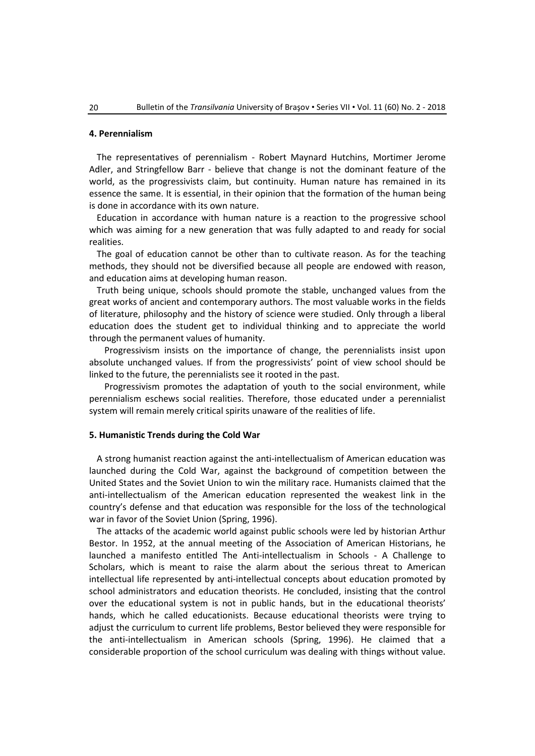## **4. Perennialism**

The representatives of perennialism - Robert Maynard Hutchins, Mortimer Jerome Adler, and Stringfellow Barr - believe that change is not the dominant feature of the world, as the progressivists claim, but continuity. Human nature has remained in its essence the same. It is essential, in their opinion that the formation of the human being is done in accordance with its own nature.

Education in accordance with human nature is a reaction to the progressive school which was aiming for a new generation that was fully adapted to and ready for social realities.

The goal of education cannot be other than to cultivate reason. As for the teaching methods, they should not be diversified because all people are endowed with reason, and education aims at developing human reason.

Truth being unique, schools should promote the stable, unchanged values from the great works of ancient and contemporary authors. The most valuable works in the fields of literature, philosophy and the history of science were studied. Only through a liberal education does the student get to individual thinking and to appreciate the world through the permanent values of humanity.

Progressivism insists on the importance of change, the perennialists insist upon absolute unchanged values. If from the progressivists' point of view school should be linked to the future, the perennialists see it rooted in the past.

Progressivism promotes the adaptation of youth to the social environment, while perennialism eschews social realities. Therefore, those educated under a perennialist system will remain merely critical spirits unaware of the realities of life.

#### **5. Humanistic Trends during the Cold War**

A strong humanist reaction against the anti-intellectualism of American education was launched during the Cold War, against the background of competition between the United States and the Soviet Union to win the military race. Humanists claimed that the anti-intellectualism of the American education represented the weakest link in the country's defense and that education was responsible for the loss of the technological war in favor of the Soviet Union (Spring, 1996).

The attacks of the academic world against public schools were led by historian Arthur Bestor. In 1952, at the annual meeting of the Association of American Historians, he launched a manifesto entitled The Anti-intellectualism in Schools - A Challenge to Scholars, which is meant to raise the alarm about the serious threat to American intellectual life represented by anti-intellectual concepts about education promoted by school administrators and education theorists. He concluded, insisting that the control over the educational system is not in public hands, but in the educational theorists' hands, which he called educationists. Because educational theorists were trying to adjust the curriculum to current life problems, Bestor believed they were responsible for the anti-intellectualism in American schools (Spring, 1996). He claimed that a considerable proportion of the school curriculum was dealing with things without value.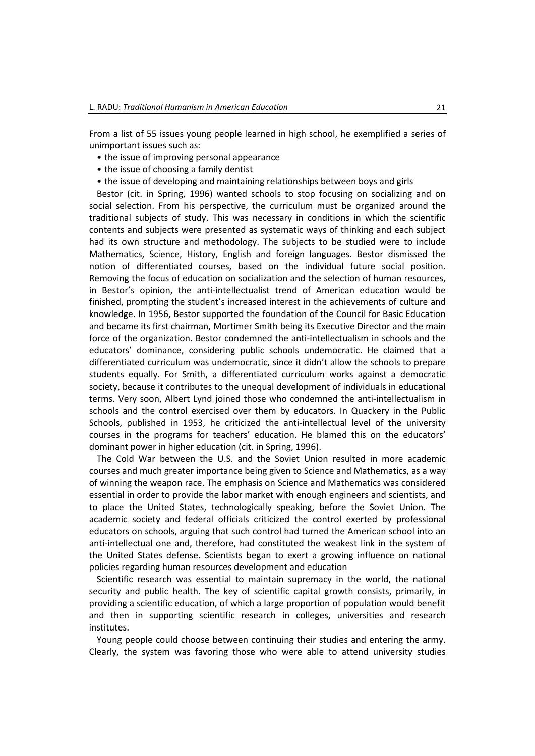From a list of 55 issues young people learned in high school, he exemplified a series of unimportant issues such as:

- the issue of improving personal appearance
- the issue of choosing a family dentist
- the issue of developing and maintaining relationships between boys and girls

Bestor (cit. in Spring, 1996) wanted schools to stop focusing on socializing and on social selection. From his perspective, the curriculum must be organized around the traditional subjects of study. This was necessary in conditions in which the scientific contents and subjects were presented as systematic ways of thinking and each subject had its own structure and methodology. The subjects to be studied were to include Mathematics, Science, History, English and foreign languages. Bestor dismissed the notion of differentiated courses, based on the individual future social position. Removing the focus of education on socialization and the selection of human resources, in Bestor's opinion, the anti-intellectualist trend of American education would be finished, prompting the student's increased interest in the achievements of culture and knowledge. In 1956, Bestor supported the foundation of the Council for Basic Education and became its first chairman, Mortimer Smith being its Executive Director and the main force of the organization. Bestor condemned the anti-intellectualism in schools and the educators' dominance, considering public schools undemocratic. He claimed that a differentiated curriculum was undemocratic, since it didn't allow the schools to prepare students equally. For Smith, a differentiated curriculum works against a democratic society, because it contributes to the unequal development of individuals in educational terms. Very soon, Albert Lynd joined those who condemned the anti-intellectualism in schools and the control exercised over them by educators. In Quackery in the Public Schools, published in 1953, he criticized the anti-intellectual level of the university courses in the programs for teachers' education. He blamed this on the educators' dominant power in higher education (cit. in Spring, 1996).

The Cold War between the U.S. and the Soviet Union resulted in more academic courses and much greater importance being given to Science and Mathematics, as a way of winning the weapon race. The emphasis on Science and Mathematics was considered essential in order to provide the labor market with enough engineers and scientists, and to place the United States, technologically speaking, before the Soviet Union. The academic society and federal officials criticized the control exerted by professional educators on schools, arguing that such control had turned the American school into an anti-intellectual one and, therefore, had constituted the weakest link in the system of the United States defense. Scientists began to exert a growing influence on national policies regarding human resources development and education

Scientific research was essential to maintain supremacy in the world, the national security and public health. The key of scientific capital growth consists, primarily, in providing a scientific education, of which a large proportion of population would benefit and then in supporting scientific research in colleges, universities and research institutes.

Young people could choose between continuing their studies and entering the army. Clearly, the system was favoring those who were able to attend university studies